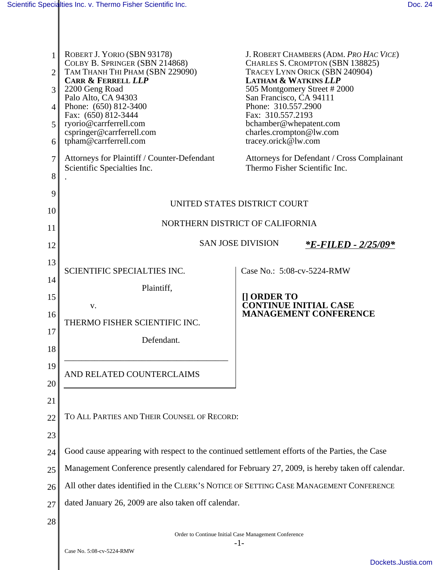| 1<br>2<br>3<br>4<br>5<br>6 | ROBERT J. YORIO (SBN 93178)<br>COLBY B. SPRINGER (SBN 214868)<br>TAM THANH THI PHAM (SBN 229090)<br><b>CARR &amp; FERRELL LLP</b><br>2200 Geng Road<br>Palo Alto, CA 94303<br>Phone: (650) 812-3400<br>Fax: (650) 812-3444<br>ryorio@carrferrell.com<br>cspringer@carrferrell.com<br>tpham@carrferrell.com | San Francisco, CA 94111<br>Phone: 310.557.2900<br>Fax: 310.557.2193<br>tracey.orick@lw.com | J. ROBERT CHAMBERS (ADM. PRO HAC VICE)<br>CHARLES S. CROMPTON (SBN 138825)<br>TRACEY LYNN ORICK (SBN 240904)<br><b>LATHAM &amp; WATKINS LLP</b><br>505 Montgomery Street #2000<br>bchamber@whepatent.com<br>charles.crompton@lw.com |
|----------------------------|------------------------------------------------------------------------------------------------------------------------------------------------------------------------------------------------------------------------------------------------------------------------------------------------------------|--------------------------------------------------------------------------------------------|-------------------------------------------------------------------------------------------------------------------------------------------------------------------------------------------------------------------------------------|
| 7<br>8                     | Attorneys for Plaintiff / Counter-Defendant<br>Scientific Specialties Inc.                                                                                                                                                                                                                                 |                                                                                            | Attorneys for Defendant / Cross Complainant<br>Thermo Fisher Scientific Inc.                                                                                                                                                        |
| 9                          |                                                                                                                                                                                                                                                                                                            |                                                                                            |                                                                                                                                                                                                                                     |
| 10                         | UNITED STATES DISTRICT COURT                                                                                                                                                                                                                                                                               |                                                                                            |                                                                                                                                                                                                                                     |
| 11                         | NORTHERN DISTRICT OF CALIFORNIA                                                                                                                                                                                                                                                                            |                                                                                            |                                                                                                                                                                                                                                     |
| 12                         |                                                                                                                                                                                                                                                                                                            | <b>SAN JOSE DIVISION</b>                                                                   | <i><b>*E-FILED - 2/25/09*</b></i>                                                                                                                                                                                                   |
| 13                         |                                                                                                                                                                                                                                                                                                            |                                                                                            |                                                                                                                                                                                                                                     |
| 14                         | SCIENTIFIC SPECIALTIES INC.                                                                                                                                                                                                                                                                                | Case No.: 5:08-cv-5224-RMW                                                                 |                                                                                                                                                                                                                                     |
| 15                         | Plaintiff,                                                                                                                                                                                                                                                                                                 | $\left[\right]$ ORDER TO                                                                   |                                                                                                                                                                                                                                     |
| 16                         | V.                                                                                                                                                                                                                                                                                                         |                                                                                            | <b>CONTINUE INITIAL CASE</b><br><b>MANAGEMENT CONFERENCE</b>                                                                                                                                                                        |
| 17                         | THERMO FISHER SCIENTIFIC INC.                                                                                                                                                                                                                                                                              |                                                                                            |                                                                                                                                                                                                                                     |
| 18                         | Defendant.                                                                                                                                                                                                                                                                                                 |                                                                                            |                                                                                                                                                                                                                                     |
| 19                         |                                                                                                                                                                                                                                                                                                            |                                                                                            |                                                                                                                                                                                                                                     |
| 20                         | AND RELATED COUNTERCLAIMS                                                                                                                                                                                                                                                                                  |                                                                                            |                                                                                                                                                                                                                                     |
|                            |                                                                                                                                                                                                                                                                                                            |                                                                                            |                                                                                                                                                                                                                                     |
| 21<br>22                   | TO ALL PARTIES AND THEIR COUNSEL OF RECORD:                                                                                                                                                                                                                                                                |                                                                                            |                                                                                                                                                                                                                                     |
|                            |                                                                                                                                                                                                                                                                                                            |                                                                                            |                                                                                                                                                                                                                                     |
| 23                         |                                                                                                                                                                                                                                                                                                            |                                                                                            |                                                                                                                                                                                                                                     |
| 24                         | Good cause appearing with respect to the continued settlement efforts of the Parties, the Case<br>Management Conference presently calendared for February 27, 2009, is hereby taken off calendar.                                                                                                          |                                                                                            |                                                                                                                                                                                                                                     |
| 25                         |                                                                                                                                                                                                                                                                                                            |                                                                                            |                                                                                                                                                                                                                                     |
| 26                         | All other dates identified in the CLERK'S NOTICE OF SETTING CASE MANAGEMENT CONFERENCE                                                                                                                                                                                                                     |                                                                                            |                                                                                                                                                                                                                                     |
| 27                         | dated January 26, 2009 are also taken off calendar.                                                                                                                                                                                                                                                        |                                                                                            |                                                                                                                                                                                                                                     |
| 28                         | Order to Continue Initial Case Management Conference                                                                                                                                                                                                                                                       |                                                                                            |                                                                                                                                                                                                                                     |
|                            |                                                                                                                                                                                                                                                                                                            | $-1-$                                                                                      |                                                                                                                                                                                                                                     |